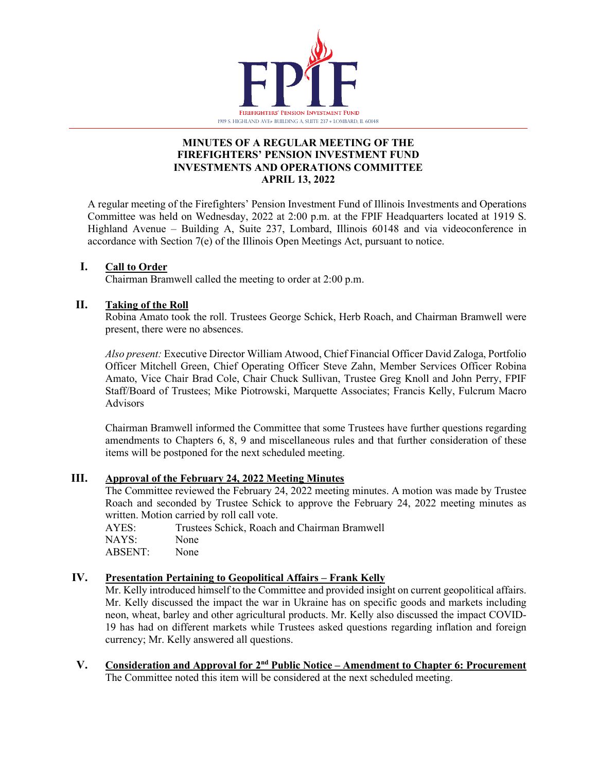

### **MINUTES OF A REGULAR MEETING OF THE FIREFIGHTERS' PENSION INVESTMENT FUND INVESTMENTS AND OPERATIONS COMMITTEE APRIL 13, 2022**

A regular meeting of the Firefighters' Pension Investment Fund of Illinois Investments and Operations Committee was held on Wednesday, 2022 at 2:00 p.m. at the FPIF Headquarters located at 1919 S. Highland Avenue – Building A, Suite 237, Lombard, Illinois 60148 and via videoconference in accordance with Section 7(e) of the Illinois Open Meetings Act, pursuant to notice.

### **I. Call to Order**

Chairman Bramwell called the meeting to order at 2:00 p.m.

### **II. Taking of the Roll**

Robina Amato took the roll. Trustees George Schick, Herb Roach, and Chairman Bramwell were present, there were no absences.

*Also present:* Executive Director William Atwood, Chief Financial Officer David Zaloga, Portfolio Officer Mitchell Green, Chief Operating Officer Steve Zahn, Member Services Officer Robina Amato, Vice Chair Brad Cole, Chair Chuck Sullivan, Trustee Greg Knoll and John Perry, FPIF Staff/Board of Trustees; Mike Piotrowski, Marquette Associates; Francis Kelly, Fulcrum Macro Advisors

Chairman Bramwell informed the Committee that some Trustees have further questions regarding amendments to Chapters 6, 8, 9 and miscellaneous rules and that further consideration of these items will be postponed for the next scheduled meeting.

# **III. Approval of the February 24, 2022 Meeting Minutes**

The Committee reviewed the February 24, 2022 meeting minutes. A motion was made by Trustee Roach and seconded by Trustee Schick to approve the February 24, 2022 meeting minutes as written. Motion carried by roll call vote.

| AYES:   | Trustees Schick, Roach and Chairman Bramwell |
|---------|----------------------------------------------|
| NAYS:   | None                                         |
| ABSENT: | None                                         |

### **IV. Presentation Pertaining to Geopolitical Affairs – Frank Kelly**

Mr. Kelly introduced himself to the Committee and provided insight on current geopolitical affairs. Mr. Kelly discussed the impact the war in Ukraine has on specific goods and markets including neon, wheat, barley and other agricultural products. Mr. Kelly also discussed the impact COVID-19 has had on different markets while Trustees asked questions regarding inflation and foreign currency; Mr. Kelly answered all questions.

**V. Consideration and Approval for 2nd Public Notice – Amendment to Chapter 6: Procurement** The Committee noted this item will be considered at the next scheduled meeting.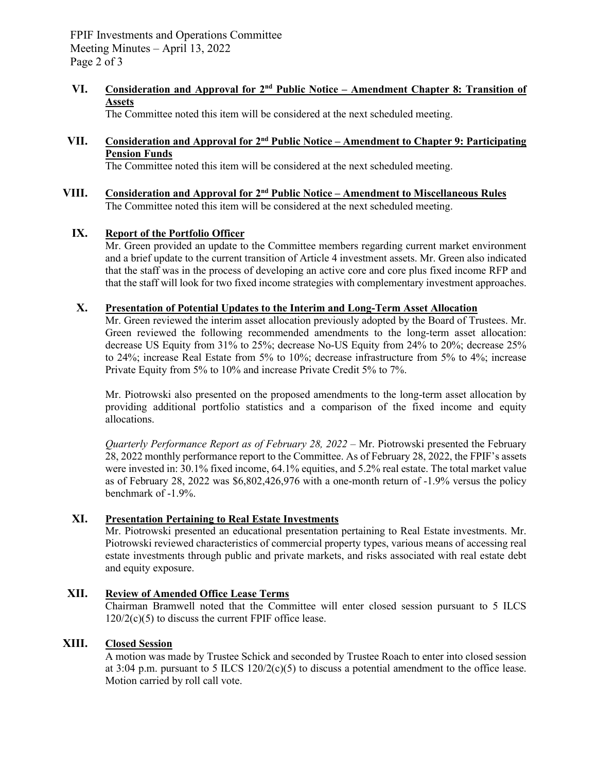FPIF Investments and Operations Committee Meeting Minutes – April 13, 2022 Page 2 of 3

#### **VI. Consideration and Approval for 2nd Public Notice – Amendment Chapter 8: Transition of Assets**

The Committee noted this item will be considered at the next scheduled meeting.

# **VII. Consideration and Approval for 2nd Public Notice – Amendment to Chapter 9: Participating Pension Funds**

The Committee noted this item will be considered at the next scheduled meeting.

**VIII. Consideration and Approval for 2nd Public Notice – Amendment to Miscellaneous Rules** The Committee noted this item will be considered at the next scheduled meeting.

### **IX. Report of the Portfolio Officer**

Mr. Green provided an update to the Committee members regarding current market environment and a brief update to the current transition of Article 4 investment assets. Mr. Green also indicated that the staff was in the process of developing an active core and core plus fixed income RFP and that the staff will look for two fixed income strategies with complementary investment approaches.

#### **X. Presentation of Potential Updates to the Interim and Long-Term Asset Allocation**

Mr. Green reviewed the interim asset allocation previously adopted by the Board of Trustees. Mr. Green reviewed the following recommended amendments to the long-term asset allocation: decrease US Equity from 31% to 25%; decrease No-US Equity from 24% to 20%; decrease 25% to 24%; increase Real Estate from 5% to 10%; decrease infrastructure from 5% to 4%; increase Private Equity from 5% to 10% and increase Private Credit 5% to 7%.

Mr. Piotrowski also presented on the proposed amendments to the long-term asset allocation by providing additional portfolio statistics and a comparison of the fixed income and equity allocations.

*Quarterly Performance Report as of February 28, 2022 – Mr. Piotrowski presented the February* 28, 2022 monthly performance report to the Committee. As of February 28, 2022, the FPIF's assets were invested in: 30.1% fixed income, 64.1% equities, and 5.2% real estate. The total market value as of February 28, 2022 was \$6,802,426,976 with a one-month return of -1.9% versus the policy benchmark of -1.9%.

#### **XI. Presentation Pertaining to Real Estate Investments**

Mr. Piotrowski presented an educational presentation pertaining to Real Estate investments. Mr. Piotrowski reviewed characteristics of commercial property types, various means of accessing real estate investments through public and private markets, and risks associated with real estate debt and equity exposure.

#### **XII. Review of Amended Office Lease Terms**

Chairman Bramwell noted that the Committee will enter closed session pursuant to 5 ILCS  $120/2(c)(5)$  to discuss the current FPIF office lease.

# **XIII. Closed Session**

A motion was made by Trustee Schick and seconded by Trustee Roach to enter into closed session at 3:04 p.m. pursuant to 5 ILCS  $120/2(c)(5)$  to discuss a potential amendment to the office lease. Motion carried by roll call vote.